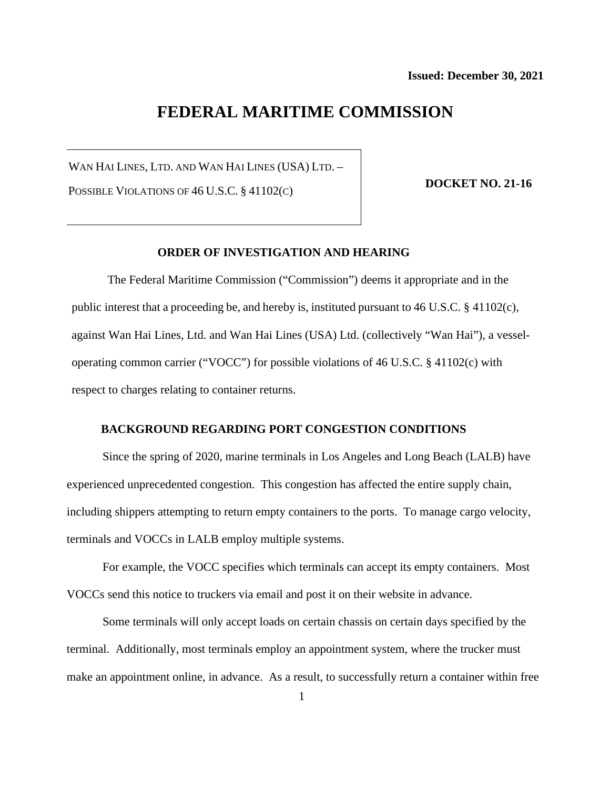# **FEDERAL MARITIME COMMISSION**

WAN HAI LINES, LTD. AND WAN HAI LINES (USA) LTD. –

POSSIBLE VIOLATIONS OF 46 U.S.C. § 41102(C)

**DOCKET NO. 21-16**

## **ORDER OF INVESTIGATION AND HEARING**

The Federal Maritime Commission ("Commission") deems it appropriate and in the public interest that a proceeding be, and hereby is, instituted pursuant to 46 U.S.C. § 41102(c), against Wan Hai Lines, Ltd. and Wan Hai Lines (USA) Ltd. (collectively "Wan Hai"), a vesseloperating common carrier ("VOCC") for possible violations of 46 U.S.C. § 41102(c) with respect to charges relating to container returns.

#### **BACKGROUND REGARDING PORT CONGESTION CONDITIONS**

Since the spring of 2020, marine terminals in Los Angeles and Long Beach (LALB) have experienced unprecedented congestion. This congestion has affected the entire supply chain, including shippers attempting to return empty containers to the ports. To manage cargo velocity, terminals and VOCCs in LALB employ multiple systems.

For example, the VOCC specifies which terminals can accept its empty containers. Most VOCCs send this notice to truckers via email and post it on their website in advance.

Some terminals will only accept loads on certain chassis on certain days specified by the terminal. Additionally, most terminals employ an appointment system, where the trucker must make an appointment online, in advance. As a result, to successfully return a container within free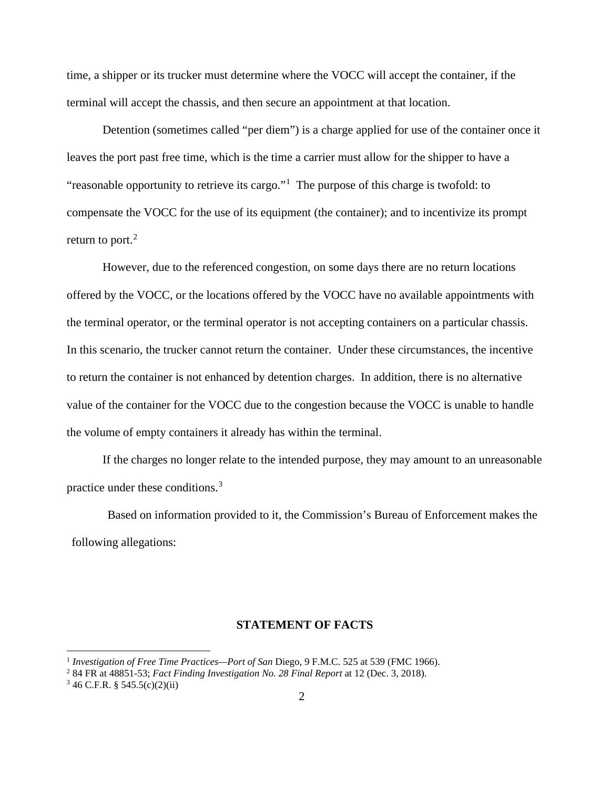time, a shipper or its trucker must determine where the VOCC will accept the container, if the terminal will accept the chassis, and then secure an appointment at that location.

Detention (sometimes called "per diem") is a charge applied for use of the container once it leaves the port past free time, which is the time a carrier must allow for the shipper to have a "reasonable opportunity to retrieve its cargo."<sup>[1](#page-1-0)</sup> The purpose of this charge is twofold: to compensate the VOCC for the use of its equipment (the container); and to incentivize its prompt return to port. $<sup>2</sup>$  $<sup>2</sup>$  $<sup>2</sup>$ </sup>

However, due to the referenced congestion, on some days there are no return locations offered by the VOCC, or the locations offered by the VOCC have no available appointments with the terminal operator, or the terminal operator is not accepting containers on a particular chassis. In this scenario, the trucker cannot return the container. Under these circumstances, the incentive to return the container is not enhanced by detention charges. In addition, there is no alternative value of the container for the VOCC due to the congestion because the VOCC is unable to handle the volume of empty containers it already has within the terminal.

If the charges no longer relate to the intended purpose, they may amount to an unreasonable practice under these conditions.[3](#page-1-2)

Based on information provided to it, the Commission's Bureau of Enforcement makes the following allegations:

## **STATEMENT OF FACTS**

<span id="page-1-0"></span><sup>&</sup>lt;sup>1</sup> *Investigation of Free Time Practices—Port of San Diego, 9 F.M.C. 525 at 539 (FMC 1966).* 

<span id="page-1-1"></span><sup>2</sup> 84 FR at 48851-53; *Fact Finding Investigation No. 28 Final Report* at 12 (Dec. 3, 2018).

<span id="page-1-2"></span> $346$  C.F.R. § 545.5(c)(2)(ii)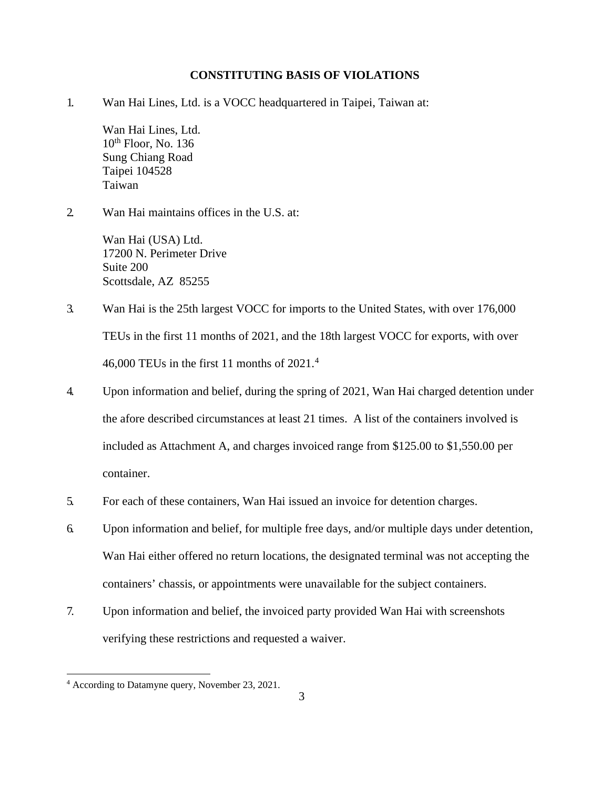### **CONSTITUTING BASIS OF VIOLATIONS**

1. Wan Hai Lines, Ltd. is a VOCC headquartered in Taipei, Taiwan at:

Wan Hai Lines, Ltd.  $10<sup>th</sup>$  Floor, No. 136 Sung Chiang Road Taipei 104528 Taiwan

2. Wan Hai maintains offices in the U.S. at:

Wan Hai (USA) Ltd. 17200 N. Perimeter Drive Suite 200 Scottsdale, AZ 85255

- 3. Wan Hai is the 25th largest VOCC for imports to the United States, with over 176,000 TEUs in the first 11 months of 2021, and the 18th largest VOCC for exports, with over [4](#page-2-0)6,000 TEUs in the first 11 months of  $2021<sup>4</sup>$
- 4. Upon information and belief, during the spring of 2021, Wan Hai charged detention under the afore described circumstances at least 21 times. A list of the containers involved is included as Attachment A, and charges invoiced range from \$125.00 to \$1,550.00 per container.
- 5. For each of these containers, Wan Hai issued an invoice for detention charges.
- 6. Upon information and belief, for multiple free days, and/or multiple days under detention, Wan Hai either offered no return locations, the designated terminal was not accepting the containers' chassis, or appointments were unavailable for the subject containers.
- 7. Upon information and belief, the invoiced party provided Wan Hai with screenshots verifying these restrictions and requested a waiver.

<span id="page-2-0"></span><sup>4</sup> According to Datamyne query, November 23, 2021.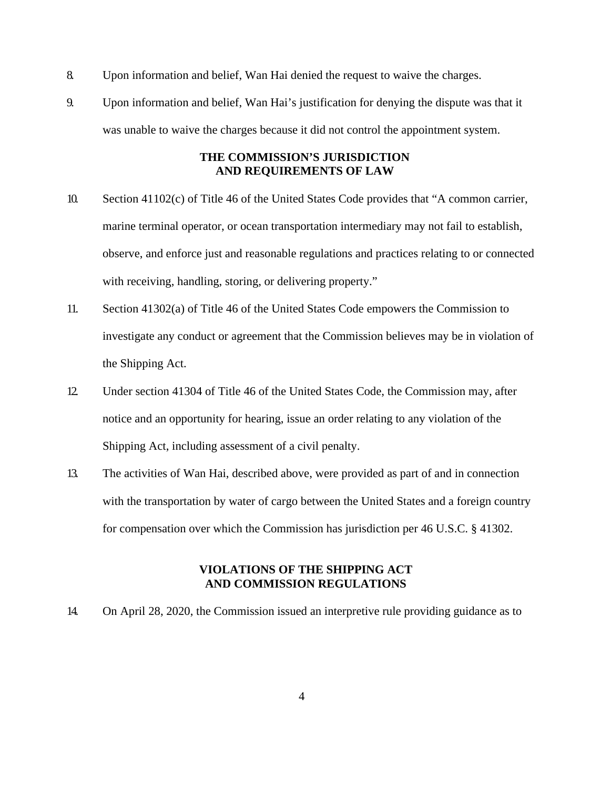- 8. Upon information and belief, Wan Hai denied the request to waive the charges.
- 9. Upon information and belief, Wan Hai's justification for denying the dispute was that it was unable to waive the charges because it did not control the appointment system.

### **THE COMMISSION'S JURISDICTION AND REQUIREMENTS OF LAW**

- 10. Section 41102(c) of Title 46 of the United States Code provides that "A common carrier, marine terminal operator, or ocean transportation intermediary may not fail to establish, observe, and enforce just and reasonable regulations and practices relating to or connected with receiving, handling, storing, or delivering property."
- 11. Section 41302(a) of Title 46 of the United States Code empowers the Commission to investigate any conduct or agreement that the Commission believes may be in violation of the Shipping Act.
- 12. Under section 41304 of Title 46 of the United States Code, the Commission may, after notice and an opportunity for hearing, issue an order relating to any violation of the Shipping Act, including assessment of a civil penalty.
- 13. The activities of Wan Hai, described above, were provided as part of and in connection with the transportation by water of cargo between the United States and a foreign country for compensation over which the Commission has jurisdiction per 46 U.S.C. § 41302.

## **VIOLATIONS OF THE SHIPPING ACT AND COMMISSION REGULATIONS**

14. On April 28, 2020, the Commission issued an interpretive rule providing guidance as to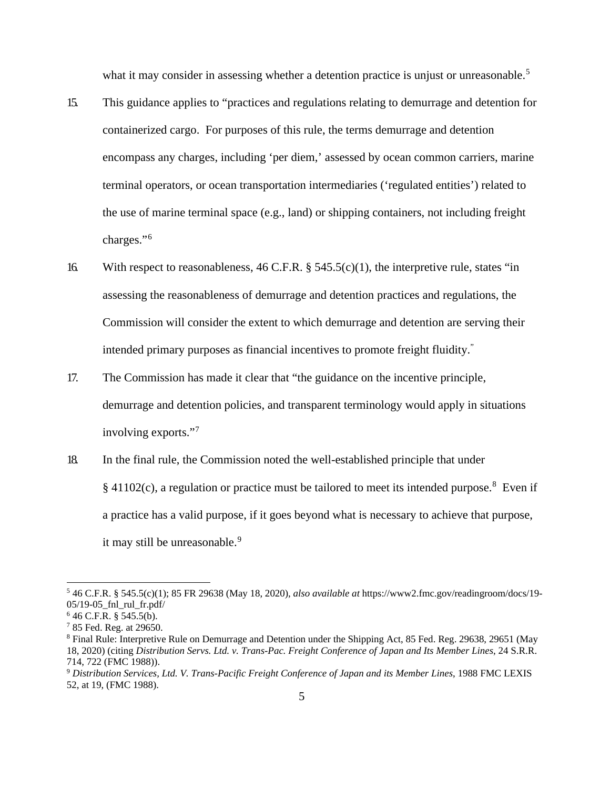what it may consider in assessing whether a detention practice is unjust or unreasonable.<sup>[5](#page-4-0)</sup>

- 15. This guidance applies to "practices and regulations relating to demurrage and detention for containerized cargo. For purposes of this rule, the terms demurrage and detention encompass any charges, including 'per diem,' assessed by ocean common carriers, marine terminal operators, or ocean transportation intermediaries ('regulated entities') related to the use of marine terminal space (e.g., land) or shipping containers, not including freight charges."[6](#page-4-1)
- 16. With respect to reasonableness, 46 C.F.R.  $\S$  545.5(c)(1), the interpretive rule, states "in assessing the reasonableness of demurrage and detention practices and regulations, the Commission will consider the extent to which demurrage and detention are serving their intended primary purposes as financial incentives to promote freight fluidity."
- 17. The Commission has made it clear that "the guidance on the incentive principle, demurrage and detention policies, and transparent terminology would apply in situations involving exports."[7](#page-4-2)
- 18. In the final rule, the Commission noted the well-established principle that under  $§$  41102(c), a regulation or practice must be tailored to meet its intended purpose.<sup>[8](#page-4-3)</sup> Even if a practice has a valid purpose, if it goes beyond what is necessary to achieve that purpose, it may still be unreasonable.<sup>[9](#page-4-4)</sup>

<span id="page-4-0"></span><sup>5</sup> 46 C.F.R. § 545.5(c)(1); 85 FR 29638 (May 18, 2020), *also available at* https://www2.fmc.gov/readingroom/docs/19- 05/19-05\_fnl\_rul\_fr.pdf/

<span id="page-4-1"></span> $646$  C.F.R. § 545.5(b).

<span id="page-4-2"></span><sup>7</sup> 85 Fed. Reg. at 29650.

<span id="page-4-3"></span><sup>8</sup> Final Rule: Interpretive Rule on Demurrage and Detention under the Shipping Act, 85 Fed. Reg. 29638, 29651 (May 18, 2020) (citing *Distribution Servs. Ltd. v. Trans-Pac. Freight Conference of Japan and Its Member Lines*, 24 S.R.R. 714, 722 (FMC 1988)).

<span id="page-4-4"></span><sup>9</sup> *Distribution Services, Ltd. V. Trans-Pacific Freight Conference of Japan and its Member Lines*, 1988 FMC LEXIS 52, at 19, (FMC 1988).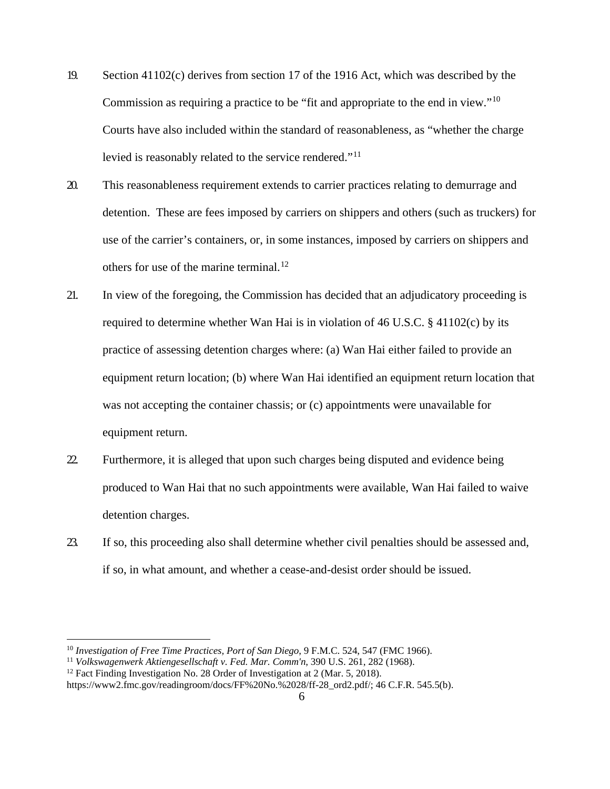- 19. Section 41102(c) derives from section 17 of the 1916 Act, which was described by the Commission as requiring a practice to be "fit and appropriate to the end in view."[10](#page-5-0) Courts have also included within the standard of reasonableness, as "whether the charge levied is reasonably related to the service rendered."[11](#page-5-1)
- 20. This reasonableness requirement extends to carrier practices relating to demurrage and detention. These are fees imposed by carriers on shippers and others (such as truckers) for use of the carrier's containers, or, in some instances, imposed by carriers on shippers and others for use of the marine terminal.<sup>12</sup>
- 21. In view of the foregoing, the Commission has decided that an adjudicatory proceeding is required to determine whether Wan Hai is in violation of 46 U.S.C. § 41102(c) by its practice of assessing detention charges where: (a) Wan Hai either failed to provide an equipment return location; (b) where Wan Hai identified an equipment return location that was not accepting the container chassis; or (c) appointments were unavailable for equipment return.
- 22. Furthermore, it is alleged that upon such charges being disputed and evidence being produced to Wan Hai that no such appointments were available, Wan Hai failed to waive detention charges.
- 23. If so, this proceeding also shall determine whether civil penalties should be assessed and, if so, in what amount, and whether a cease-and-desist order should be issued.

<span id="page-5-0"></span><sup>10</sup> *Investigation of Free Time Practices, Port of San Diego*, 9 F.M.C. 524, 547 (FMC 1966).

<span id="page-5-1"></span><sup>11</sup> *Volkswagenwerk Aktiengesellschaft v. Fed. Mar. Comm'n*, 390 U.S. 261, 282 (1968).

<span id="page-5-2"></span> $12$  Fact Finding Investigation No. 28 Order of Investigation at 2 (Mar. 5, 2018).

https://www2.fmc.gov/readingroom/docs/FF%20No.%2028/ff-28\_ord2.pdf/; 46 C.F.R. 545.5(b).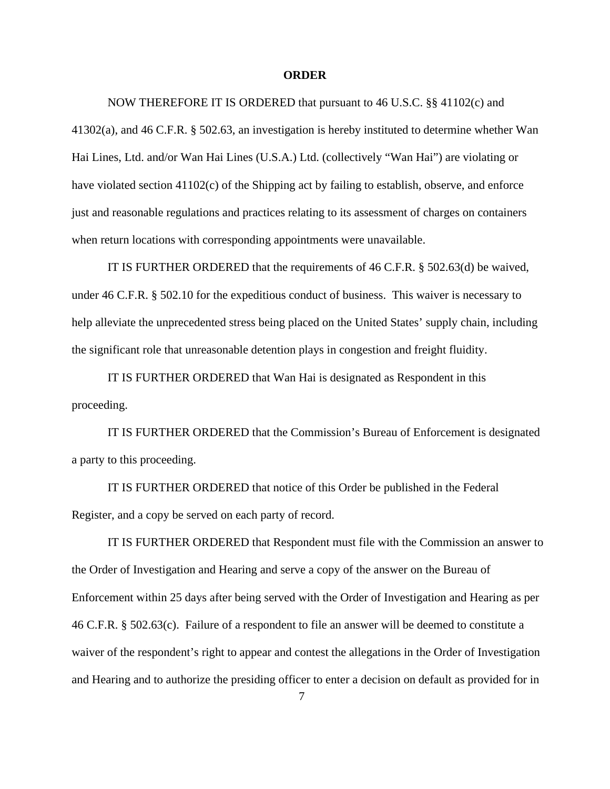#### **ORDER**

#### NOW THEREFORE IT IS ORDERED that pursuant to 46 U.S.C. §§ 41102(c) and

41302(a), and 46 C.F.R. § 502.63, an investigation is hereby instituted to determine whether Wan Hai Lines, Ltd. and/or Wan Hai Lines (U.S.A.) Ltd. (collectively "Wan Hai") are violating or have violated section 41102(c) of the Shipping act by failing to establish, observe, and enforce just and reasonable regulations and practices relating to its assessment of charges on containers when return locations with corresponding appointments were unavailable.

IT IS FURTHER ORDERED that the requirements of 46 C.F.R. § 502.63(d) be waived, under 46 C.F.R. § 502.10 for the expeditious conduct of business. This waiver is necessary to help alleviate the unprecedented stress being placed on the United States' supply chain, including the significant role that unreasonable detention plays in congestion and freight fluidity.

IT IS FURTHER ORDERED that Wan Hai is designated as Respondent in this proceeding.

IT IS FURTHER ORDERED that the Commission's Bureau of Enforcement is designated a party to this proceeding.

IT IS FURTHER ORDERED that notice of this Order be published in the Federal Register, and a copy be served on each party of record.

IT IS FURTHER ORDERED that Respondent must file with the Commission an answer to the Order of Investigation and Hearing and serve a copy of the answer on the Bureau of Enforcement within 25 days after being served with the Order of Investigation and Hearing as per 46 C.F.R. § 502.63(c). Failure of a respondent to file an answer will be deemed to constitute a waiver of the respondent's right to appear and contest the allegations in the Order of Investigation and Hearing and to authorize the presiding officer to enter a decision on default as provided for in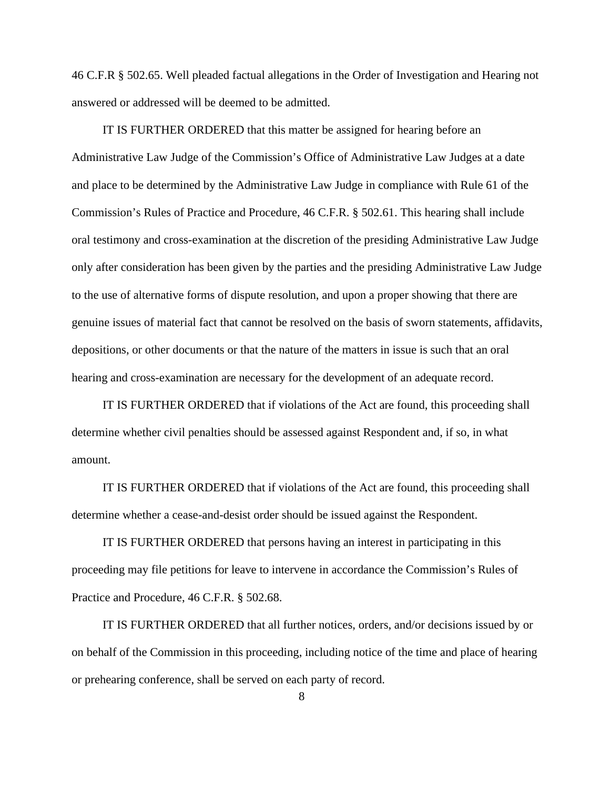46 C.F.R § 502.65. Well pleaded factual allegations in the Order of Investigation and Hearing not answered or addressed will be deemed to be admitted.

IT IS FURTHER ORDERED that this matter be assigned for hearing before an Administrative Law Judge of the Commission's Office of Administrative Law Judges at a date and place to be determined by the Administrative Law Judge in compliance with Rule 61 of the Commission's Rules of Practice and Procedure, 46 C.F.R. § 502.61. This hearing shall include oral testimony and cross-examination at the discretion of the presiding Administrative Law Judge only after consideration has been given by the parties and the presiding Administrative Law Judge to the use of alternative forms of dispute resolution, and upon a proper showing that there are genuine issues of material fact that cannot be resolved on the basis of sworn statements, affidavits, depositions, or other documents or that the nature of the matters in issue is such that an oral hearing and cross-examination are necessary for the development of an adequate record.

IT IS FURTHER ORDERED that if violations of the Act are found, this proceeding shall determine whether civil penalties should be assessed against Respondent and, if so, in what amount.

IT IS FURTHER ORDERED that if violations of the Act are found, this proceeding shall determine whether a cease-and-desist order should be issued against the Respondent.

IT IS FURTHER ORDERED that persons having an interest in participating in this proceeding may file petitions for leave to intervene in accordance the Commission's Rules of Practice and Procedure, 46 C.F.R. § 502.68.

IT IS FURTHER ORDERED that all further notices, orders, and/or decisions issued by or on behalf of the Commission in this proceeding, including notice of the time and place of hearing or prehearing conference, shall be served on each party of record.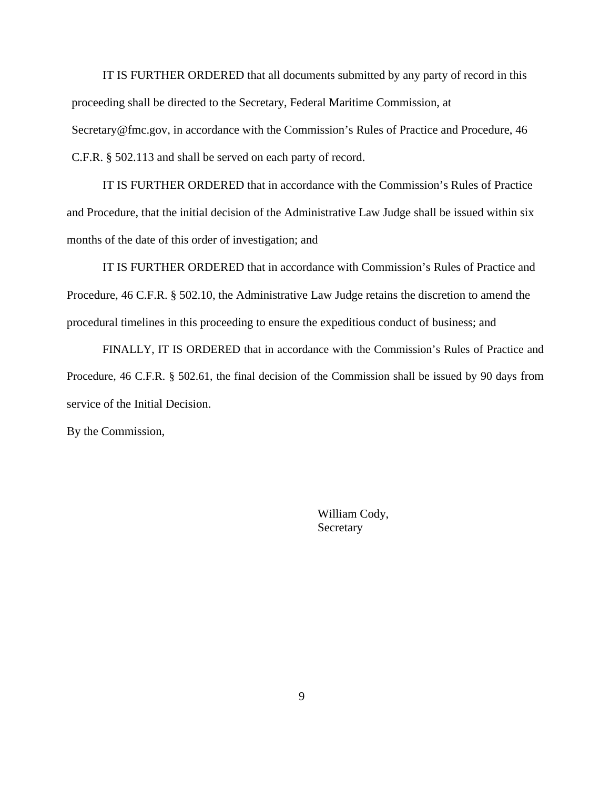IT IS FURTHER ORDERED that all documents submitted by any party of record in this proceeding shall be directed to the Secretary, Federal Maritime Commission, at Secretary@fmc.gov, in accordance with the Commission's Rules of Practice and Procedure, 46 C.F.R. § 502.113 and shall be served on each party of record.

IT IS FURTHER ORDERED that in accordance with the Commission's Rules of Practice and Procedure, that the initial decision of the Administrative Law Judge shall be issued within six months of the date of this order of investigation; and

IT IS FURTHER ORDERED that in accordance with Commission's Rules of Practice and Procedure, 46 C.F.R. § 502.10, the Administrative Law Judge retains the discretion to amend the procedural timelines in this proceeding to ensure the expeditious conduct of business; and

FINALLY, IT IS ORDERED that in accordance with the Commission's Rules of Practice and Procedure, 46 C.F.R. § 502.61, the final decision of the Commission shall be issued by 90 days from service of the Initial Decision.

By the Commission,

William Cody, **Secretary**